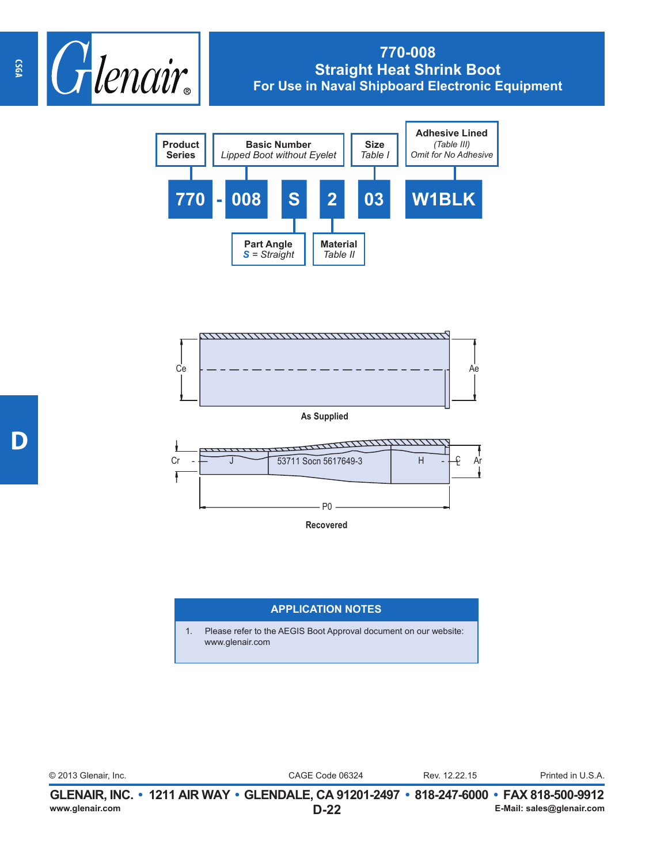

## **770-008 Straight Heat Shrink Boot For Use in Naval Shipboard Electronic Equipment**





**As Supplied**



## **APPLICATION NOTES**

1. Please refer to the AEGIS Boot Approval document on our website: www.glenair.com

| www.glenair.com      | GLENAIR, INC. • 1211 AIR WAY • GLENDALE, CA 91201-2497 • 818-247-6000 • FAX 818-500-9912<br>D-22 |               | E-Mail: sales@glenair.com |
|----------------------|--------------------------------------------------------------------------------------------------|---------------|---------------------------|
| © 2013 Glenair, Inc. | CAGE Code 06324                                                                                  | Rev. 12.22.15 | Printed in U.S.A.         |
|                      |                                                                                                  |               |                           |